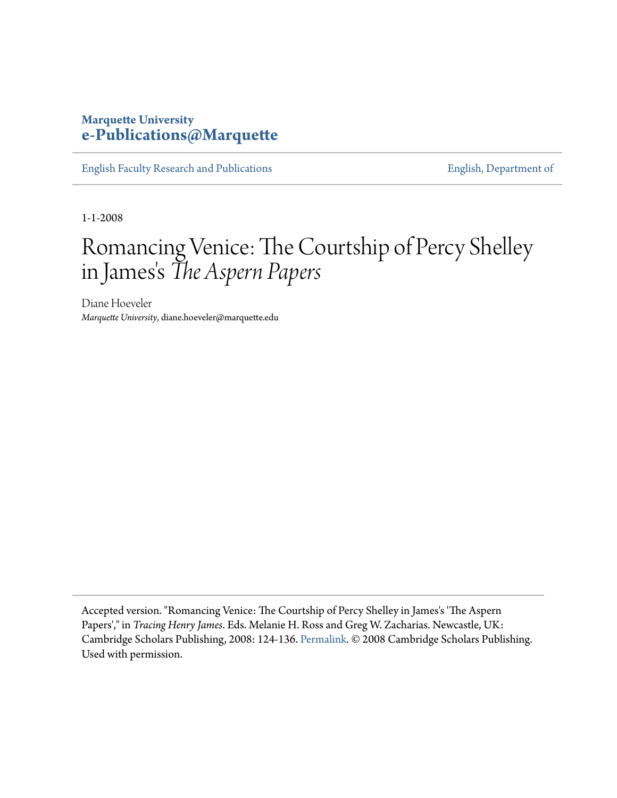# **Marquette University [e-Publications@Marquette](https://epublications.marquette.edu)**

[English Faculty Research and Publications](https://epublications.marquette.edu/english_fac) **[English, Department of](https://epublications.marquette.edu/english)** English, Department of

1-1-2008

# Romancing Venice: The Courtship of Percy Shelley in James 's *The Aspern Papers*

Diane Hoeveler *Marquette University*, diane.hoeveler@marquette.edu

Accepted version. "Romancing Venice: The Courtship of Percy Shelley in James's 'The Aspern Papers'," in *Tracing Henry James*. Eds. Melanie H. Ross and Greg W. Zacharias. Newcastle, UK: Cambridge Scholars Publishing, 2008: 124-136. [Permalink.](http://www.c-s-p.org/Flyers/Tracing-Henry-James1-84718-915-6.htm) © 2008 Cambridge Scholars Publishing. Used with permission.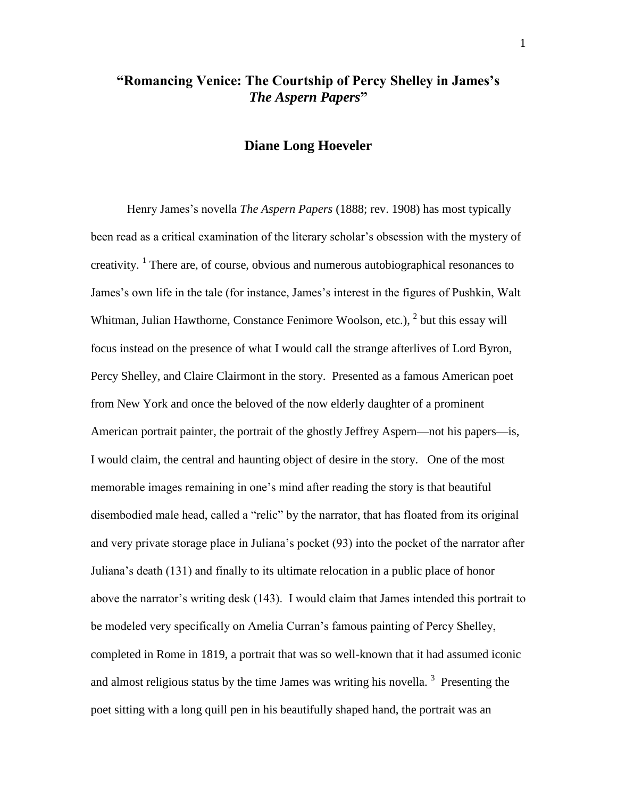## **"Romancing Venice: The Courtship of Percy Shelley in James's**  *The Aspern Papers***"**

## **Diane Long Hoeveler**

Henry James's novella *The Aspern Papers* (1888; rev. 1908) has most typically been read as a critical examination of the literary scholar's obsession with the mystery of creativity. <sup>1</sup> There are, of course, obvious and numerous autobiographical resonances to James's own life in the tale (for instance, James's interest in the figures of Pushkin, Walt Whitman, Julian Hawthorne, Constance Fenimore Woolson, etc.),  $^2$  but this essay will focus instead on the presence of what I would call the strange afterlives of Lord Byron, Percy Shelley, and Claire Clairmont in the story. Presented as a famous American poet from New York and once the beloved of the now elderly daughter of a prominent American portrait painter, the portrait of the ghostly Jeffrey Aspern—not his papers—is, I would claim, the central and haunting object of desire in the story. One of the most memorable images remaining in one's mind after reading the story is that beautiful disembodied male head, called a "relic" by the narrator, that has floated from its original and very private storage place in Juliana's pocket (93) into the pocket of the narrator after Juliana's death (131) and finally to its ultimate relocation in a public place of honor above the narrator's writing desk (143). I would claim that James intended this portrait to be modeled very specifically on Amelia Curran's famous painting of Percy Shelley, completed in Rome in 1819, a portrait that was so well-known that it had assumed iconic and almost religious status by the time James was writing his novella.<sup>3</sup> Presenting the poet sitting with a long quill pen in his beautifully shaped hand, the portrait was an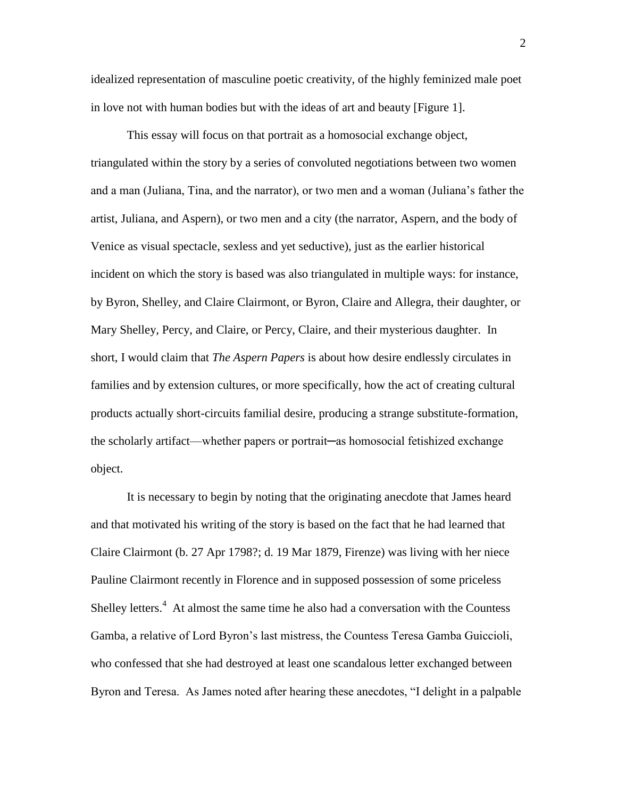idealized representation of masculine poetic creativity, of the highly feminized male poet in love not with human bodies but with the ideas of art and beauty [Figure 1].

This essay will focus on that portrait as a homosocial exchange object, triangulated within the story by a series of convoluted negotiations between two women and a man (Juliana, Tina, and the narrator), or two men and a woman (Juliana's father the artist, Juliana, and Aspern), or two men and a city (the narrator, Aspern, and the body of Venice as visual spectacle, sexless and yet seductive), just as the earlier historical incident on which the story is based was also triangulated in multiple ways: for instance, by Byron, Shelley, and Claire Clairmont, or Byron, Claire and Allegra, their daughter, or Mary Shelley, Percy, and Claire, or Percy, Claire, and their mysterious daughter. In short, I would claim that *The Aspern Papers* is about how desire endlessly circulates in families and by extension cultures, or more specifically, how the act of creating cultural products actually short-circuits familial desire, producing a strange substitute-formation, the scholarly artifact—whether papers or portrait─as homosocial fetishized exchange object.

It is necessary to begin by noting that the originating anecdote that James heard and that motivated his writing of the story is based on the fact that he had learned that Claire Clairmont (b. 27 Apr 1798?; d. 19 Mar 1879, Firenze) was living with her niece Pauline Clairmont recently in Florence and in supposed possession of some priceless Shelley letters.<sup>4</sup> At almost the same time he also had a conversation with the Countess Gamba, a relative of Lord Byron's last mistress, the Countess Teresa Gamba Guiccioli, who confessed that she had destroyed at least one scandalous letter exchanged between Byron and Teresa. As James noted after hearing these anecdotes, "I delight in a palpable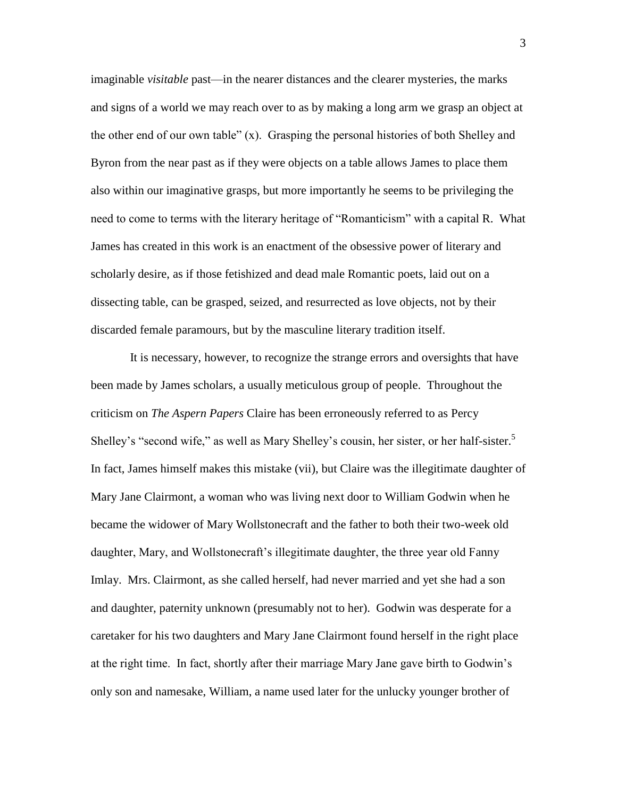imaginable *visitable* past—in the nearer distances and the clearer mysteries, the marks and signs of a world we may reach over to as by making a long arm we grasp an object at the other end of our own table" (x). Grasping the personal histories of both Shelley and Byron from the near past as if they were objects on a table allows James to place them also within our imaginative grasps, but more importantly he seems to be privileging the need to come to terms with the literary heritage of "Romanticism" with a capital R. What James has created in this work is an enactment of the obsessive power of literary and scholarly desire, as if those fetishized and dead male Romantic poets, laid out on a dissecting table, can be grasped, seized, and resurrected as love objects, not by their discarded female paramours, but by the masculine literary tradition itself.

It is necessary, however, to recognize the strange errors and oversights that have been made by James scholars, a usually meticulous group of people. Throughout the criticism on *The Aspern Papers* Claire has been erroneously referred to as Percy Shelley's "second wife," as well as Mary Shelley's cousin, her sister, or her half-sister.<sup>5</sup> In fact, James himself makes this mistake (vii), but Claire was the illegitimate daughter of Mary Jane Clairmont, a woman who was living next door to William Godwin when he became the widower of Mary Wollstonecraft and the father to both their two-week old daughter, Mary, and Wollstonecraft's illegitimate daughter, the three year old Fanny Imlay. Mrs. Clairmont, as she called herself, had never married and yet she had a son and daughter, paternity unknown (presumably not to her). Godwin was desperate for a caretaker for his two daughters and Mary Jane Clairmont found herself in the right place at the right time. In fact, shortly after their marriage Mary Jane gave birth to Godwin's only son and namesake, William, a name used later for the unlucky younger brother of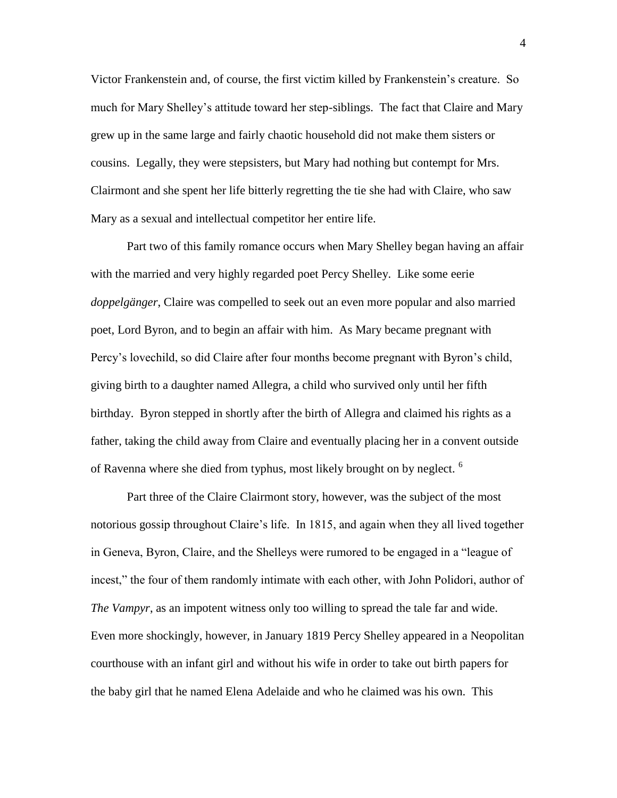Victor Frankenstein and, of course, the first victim killed by Frankenstein's creature. So much for Mary Shelley's attitude toward her step-siblings. The fact that Claire and Mary grew up in the same large and fairly chaotic household did not make them sisters or cousins. Legally, they were stepsisters, but Mary had nothing but contempt for Mrs. Clairmont and she spent her life bitterly regretting the tie she had with Claire, who saw Mary as a sexual and intellectual competitor her entire life.

Part two of this family romance occurs when Mary Shelley began having an affair with the married and very highly regarded poet Percy Shelley. Like some eerie *doppelgänger*, Claire was compelled to seek out an even more popular and also married poet, Lord Byron, and to begin an affair with him. As Mary became pregnant with Percy's lovechild, so did Claire after four months become pregnant with Byron's child, giving birth to a daughter named Allegra, a child who survived only until her fifth birthday. Byron stepped in shortly after the birth of Allegra and claimed his rights as a father, taking the child away from Claire and eventually placing her in a convent outside of Ravenna where she died from typhus, most likely brought on by neglect. <sup>6</sup>

Part three of the Claire Clairmont story, however, was the subject of the most notorious gossip throughout Claire's life. In 1815, and again when they all lived together in Geneva, Byron, Claire, and the Shelleys were rumored to be engaged in a "league of incest," the four of them randomly intimate with each other, with John Polidori, author of *The Vampyr*, as an impotent witness only too willing to spread the tale far and wide. Even more shockingly, however, in January 1819 Percy Shelley appeared in a Neopolitan courthouse with an infant girl and without his wife in order to take out birth papers for the baby girl that he named Elena Adelaide and who he claimed was his own. This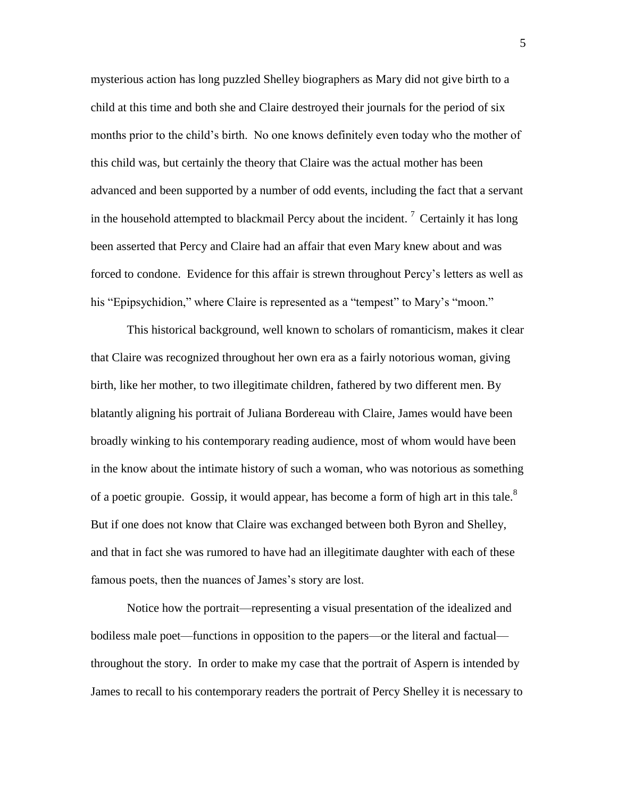mysterious action has long puzzled Shelley biographers as Mary did not give birth to a child at this time and both she and Claire destroyed their journals for the period of six months prior to the child's birth. No one knows definitely even today who the mother of this child was, but certainly the theory that Claire was the actual mother has been advanced and been supported by a number of odd events, including the fact that a servant in the household attempted to blackmail Percy about the incident.<sup>7</sup> Certainly it has long been asserted that Percy and Claire had an affair that even Mary knew about and was forced to condone. Evidence for this affair is strewn throughout Percy's letters as well as his "Epipsychidion," where Claire is represented as a "tempest" to Mary's "moon."

This historical background, well known to scholars of romanticism, makes it clear that Claire was recognized throughout her own era as a fairly notorious woman, giving birth, like her mother, to two illegitimate children, fathered by two different men. By blatantly aligning his portrait of Juliana Bordereau with Claire, James would have been broadly winking to his contemporary reading audience, most of whom would have been in the know about the intimate history of such a woman, who was notorious as something of a poetic groupie. Gossip, it would appear, has become a form of high art in this tale. $8$ But if one does not know that Claire was exchanged between both Byron and Shelley, and that in fact she was rumored to have had an illegitimate daughter with each of these famous poets, then the nuances of James's story are lost.

Notice how the portrait—representing a visual presentation of the idealized and bodiless male poet—functions in opposition to the papers—or the literal and factual throughout the story. In order to make my case that the portrait of Aspern is intended by James to recall to his contemporary readers the portrait of Percy Shelley it is necessary to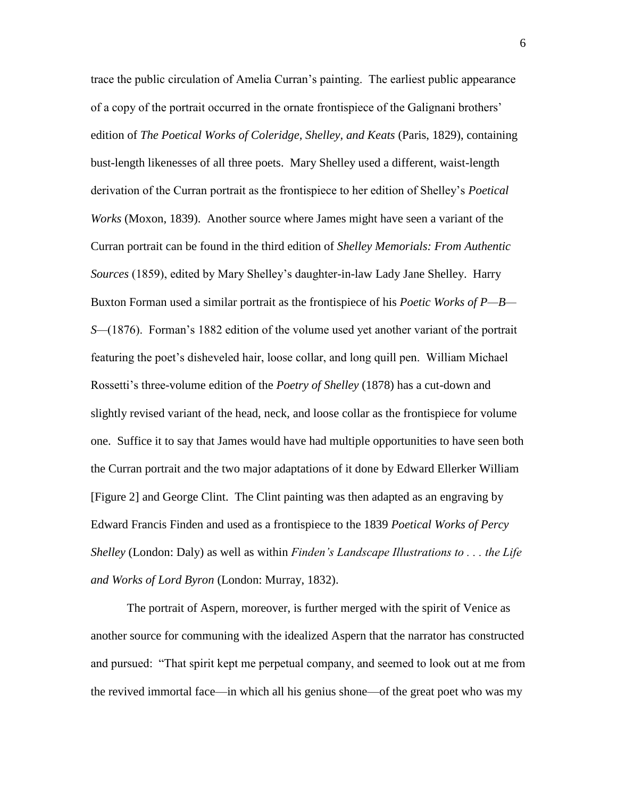trace the public circulation of Amelia Curran's painting. The earliest public appearance of a copy of the portrait occurred in the ornate frontispiece of the Galignani brothers' edition of *The Poetical Works of Coleridge, Shelley, and Keats* (Paris, 1829), containing bust-length likenesses of all three poets. Mary Shelley used a different, waist-length derivation of the Curran portrait as the frontispiece to her edition of Shelley's *Poetical Works* (Moxon, 1839). Another source where James might have seen a variant of the Curran portrait can be found in the third edition of *Shelley Memorials: From Authentic Sources* (1859), edited by Mary Shelley's daughter-in-law Lady Jane Shelley. Harry Buxton Forman used a similar portrait as the frontispiece of his *Poetic Works of P—B— S—*(1876). Forman's 1882 edition of the volume used yet another variant of the portrait featuring the poet's disheveled hair, loose collar, and long quill pen. William Michael Rossetti's three-volume edition of the *Poetry of Shelley* (1878) has a cut-down and slightly revised variant of the head, neck, and loose collar as the frontispiece for volume one. Suffice it to say that James would have had multiple opportunities to have seen both the Curran portrait and the two major adaptations of it done by Edward Ellerker William [Figure 2] and George Clint. The Clint painting was then adapted as an engraving by Edward Francis Finden and used as a frontispiece to the 1839 *Poetical Works of Percy Shelley* (London: Daly) as well as within *Finden's Landscape Illustrations to . . . the Life and Works of Lord Byron* (London: Murray, 1832).

The portrait of Aspern, moreover, is further merged with the spirit of Venice as another source for communing with the idealized Aspern that the narrator has constructed and pursued: "That spirit kept me perpetual company, and seemed to look out at me from the revived immortal face—in which all his genius shone—of the great poet who was my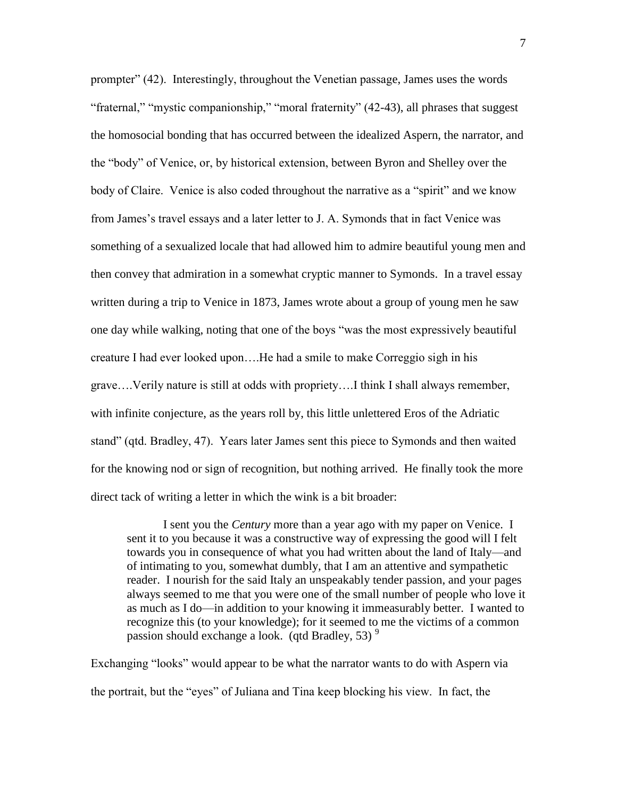prompter" (42). Interestingly, throughout the Venetian passage, James uses the words "fraternal," "mystic companionship," "moral fraternity" (42-43), all phrases that suggest the homosocial bonding that has occurred between the idealized Aspern, the narrator, and the "body" of Venice, or, by historical extension, between Byron and Shelley over the body of Claire. Venice is also coded throughout the narrative as a "spirit" and we know from James's travel essays and a later letter to J. A. Symonds that in fact Venice was something of a sexualized locale that had allowed him to admire beautiful young men and then convey that admiration in a somewhat cryptic manner to Symonds. In a travel essay written during a trip to Venice in 1873, James wrote about a group of young men he saw one day while walking, noting that one of the boys "was the most expressively beautiful creature I had ever looked upon….He had a smile to make Correggio sigh in his grave….Verily nature is still at odds with propriety….I think I shall always remember, with infinite conjecture, as the years roll by, this little unlettered Eros of the Adriatic stand" (qtd. Bradley, 47). Years later James sent this piece to Symonds and then waited for the knowing nod or sign of recognition, but nothing arrived. He finally took the more direct tack of writing a letter in which the wink is a bit broader:

I sent you the *Century* more than a year ago with my paper on Venice. I sent it to you because it was a constructive way of expressing the good will I felt towards you in consequence of what you had written about the land of Italy—and of intimating to you, somewhat dumbly, that I am an attentive and sympathetic reader. I nourish for the said Italy an unspeakably tender passion, and your pages always seemed to me that you were one of the small number of people who love it as much as I do—in addition to your knowing it immeasurably better. I wanted to recognize this (to your knowledge); for it seemed to me the victims of a common passion should exchange a look. (qtd Bradley, 53)  $9$ 

Exchanging "looks" would appear to be what the narrator wants to do with Aspern via the portrait, but the "eyes" of Juliana and Tina keep blocking his view. In fact, the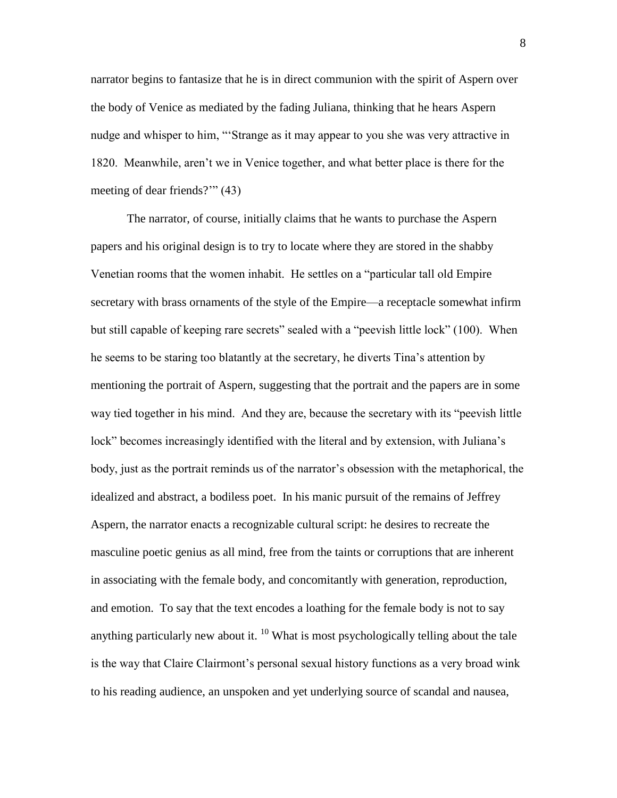narrator begins to fantasize that he is in direct communion with the spirit of Aspern over the body of Venice as mediated by the fading Juliana, thinking that he hears Aspern nudge and whisper to him, "'Strange as it may appear to you she was very attractive in 1820. Meanwhile, aren't we in Venice together, and what better place is there for the meeting of dear friends?'" (43)

The narrator, of course, initially claims that he wants to purchase the Aspern papers and his original design is to try to locate where they are stored in the shabby Venetian rooms that the women inhabit. He settles on a "particular tall old Empire secretary with brass ornaments of the style of the Empire—a receptacle somewhat infirm but still capable of keeping rare secrets" sealed with a "peevish little lock" (100). When he seems to be staring too blatantly at the secretary, he diverts Tina's attention by mentioning the portrait of Aspern, suggesting that the portrait and the papers are in some way tied together in his mind. And they are, because the secretary with its "peevish little lock" becomes increasingly identified with the literal and by extension, with Juliana's body, just as the portrait reminds us of the narrator's obsession with the metaphorical, the idealized and abstract, a bodiless poet. In his manic pursuit of the remains of Jeffrey Aspern, the narrator enacts a recognizable cultural script: he desires to recreate the masculine poetic genius as all mind, free from the taints or corruptions that are inherent in associating with the female body, and concomitantly with generation, reproduction, and emotion. To say that the text encodes a loathing for the female body is not to say anything particularly new about it.  $^{10}$  What is most psychologically telling about the tale is the way that Claire Clairmont's personal sexual history functions as a very broad wink to his reading audience, an unspoken and yet underlying source of scandal and nausea,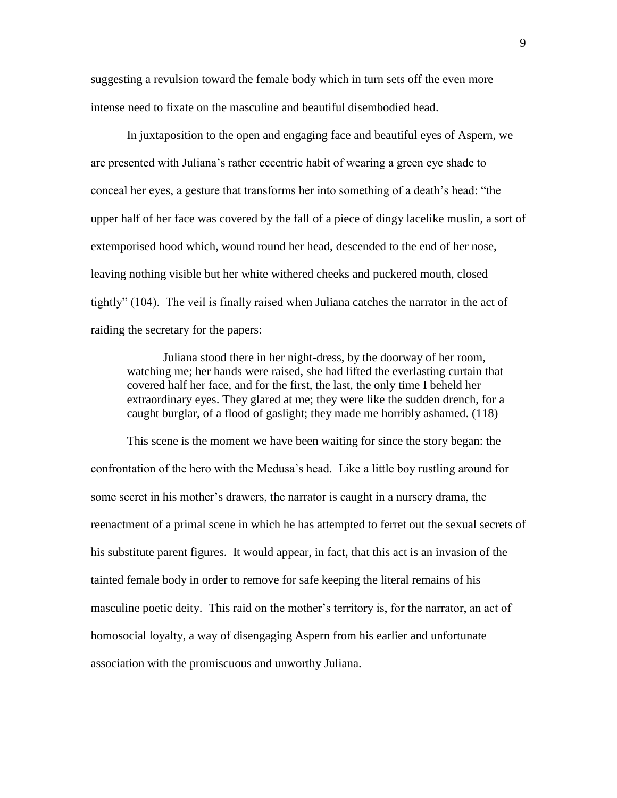suggesting a revulsion toward the female body which in turn sets off the even more intense need to fixate on the masculine and beautiful disembodied head.

In juxtaposition to the open and engaging face and beautiful eyes of Aspern, we are presented with Juliana's rather eccentric habit of wearing a green eye shade to conceal her eyes, a gesture that transforms her into something of a death's head: "the upper half of her face was covered by the fall of a piece of dingy lacelike muslin, a sort of extemporised hood which, wound round her head, descended to the end of her nose, leaving nothing visible but her white withered cheeks and puckered mouth, closed tightly" (104). The veil is finally raised when Juliana catches the narrator in the act of raiding the secretary for the papers:

Juliana stood there in her night-dress, by the doorway of her room, watching me; her hands were raised, she had lifted the everlasting curtain that covered half her face, and for the first, the last, the only time I beheld her extraordinary eyes. They glared at me; they were like the sudden drench, for a caught burglar, of a flood of gaslight; they made me horribly ashamed. (118)

This scene is the moment we have been waiting for since the story began: the confrontation of the hero with the Medusa's head. Like a little boy rustling around for some secret in his mother's drawers, the narrator is caught in a nursery drama, the reenactment of a primal scene in which he has attempted to ferret out the sexual secrets of his substitute parent figures. It would appear, in fact, that this act is an invasion of the tainted female body in order to remove for safe keeping the literal remains of his masculine poetic deity. This raid on the mother's territory is, for the narrator, an act of homosocial loyalty, a way of disengaging Aspern from his earlier and unfortunate association with the promiscuous and unworthy Juliana.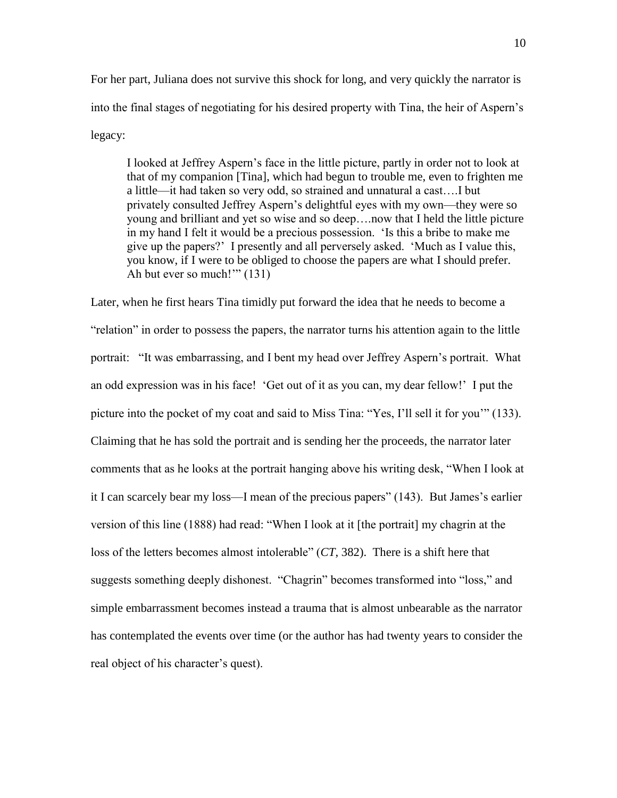For her part, Juliana does not survive this shock for long, and very quickly the narrator is into the final stages of negotiating for his desired property with Tina, the heir of Aspern's legacy:

I looked at Jeffrey Aspern's face in the little picture, partly in order not to look at that of my companion [Tina], which had begun to trouble me, even to frighten me a little—it had taken so very odd, so strained and unnatural a cast….I but privately consulted Jeffrey Aspern's delightful eyes with my own—they were so young and brilliant and yet so wise and so deep….now that I held the little picture in my hand I felt it would be a precious possession. 'Is this a bribe to make me give up the papers?' I presently and all perversely asked. 'Much as I value this, you know, if I were to be obliged to choose the papers are what I should prefer. Ah but ever so much!'" (131)

Later, when he first hears Tina timidly put forward the idea that he needs to become a "relation" in order to possess the papers, the narrator turns his attention again to the little portrait: "It was embarrassing, and I bent my head over Jeffrey Aspern's portrait. What an odd expression was in his face! 'Get out of it as you can, my dear fellow!' I put the picture into the pocket of my coat and said to Miss Tina: "Yes, I'll sell it for you'" (133). Claiming that he has sold the portrait and is sending her the proceeds, the narrator later comments that as he looks at the portrait hanging above his writing desk, "When I look at it I can scarcely bear my loss—I mean of the precious papers" (143). But James's earlier version of this line (1888) had read: "When I look at it [the portrait] my chagrin at the loss of the letters becomes almost intolerable" (*CT*, 382). There is a shift here that suggests something deeply dishonest. "Chagrin" becomes transformed into "loss," and simple embarrassment becomes instead a trauma that is almost unbearable as the narrator has contemplated the events over time (or the author has had twenty years to consider the real object of his character's quest).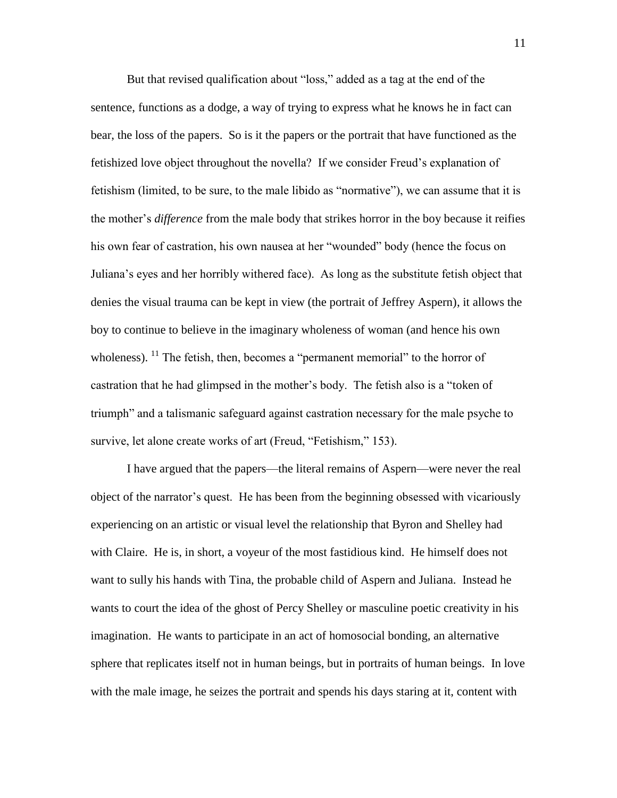But that revised qualification about "loss," added as a tag at the end of the sentence, functions as a dodge, a way of trying to express what he knows he in fact can bear, the loss of the papers. So is it the papers or the portrait that have functioned as the fetishized love object throughout the novella? If we consider Freud's explanation of fetishism (limited, to be sure, to the male libido as "normative"), we can assume that it is the mother's *difference* from the male body that strikes horror in the boy because it reifies his own fear of castration, his own nausea at her "wounded" body (hence the focus on Juliana's eyes and her horribly withered face). As long as the substitute fetish object that denies the visual trauma can be kept in view (the portrait of Jeffrey Aspern), it allows the boy to continue to believe in the imaginary wholeness of woman (and hence his own wholeness). <sup>11</sup> The fetish, then, becomes a "permanent memorial" to the horror of castration that he had glimpsed in the mother's body. The fetish also is a "token of triumph" and a talismanic safeguard against castration necessary for the male psyche to survive, let alone create works of art (Freud, "Fetishism," 153).

I have argued that the papers—the literal remains of Aspern—were never the real object of the narrator's quest. He has been from the beginning obsessed with vicariously experiencing on an artistic or visual level the relationship that Byron and Shelley had with Claire. He is, in short, a voyeur of the most fastidious kind. He himself does not want to sully his hands with Tina, the probable child of Aspern and Juliana. Instead he wants to court the idea of the ghost of Percy Shelley or masculine poetic creativity in his imagination. He wants to participate in an act of homosocial bonding, an alternative sphere that replicates itself not in human beings, but in portraits of human beings. In love with the male image, he seizes the portrait and spends his days staring at it, content with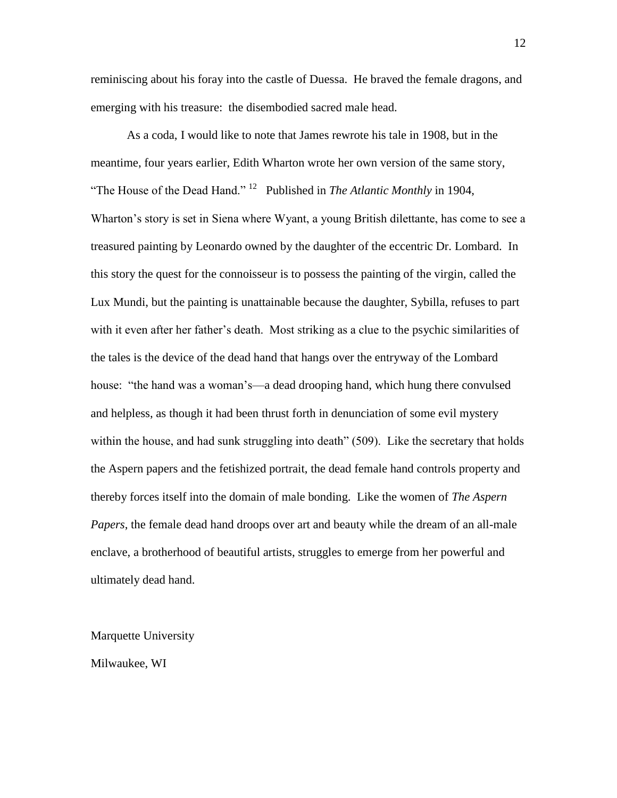reminiscing about his foray into the castle of Duessa. He braved the female dragons, and emerging with his treasure: the disembodied sacred male head.

As a coda, I would like to note that James rewrote his tale in 1908, but in the meantime, four years earlier, Edith Wharton wrote her own version of the same story, "The House of the Dead Hand." <sup>12</sup> Published in *The Atlantic Monthly* in 1904, Wharton's story is set in Siena where Wyant, a young British dilettante, has come to see a treasured painting by Leonardo owned by the daughter of the eccentric Dr. Lombard. In this story the quest for the connoisseur is to possess the painting of the virgin, called the Lux Mundi, but the painting is unattainable because the daughter, Sybilla, refuses to part with it even after her father's death. Most striking as a clue to the psychic similarities of the tales is the device of the dead hand that hangs over the entryway of the Lombard house: "the hand was a woman's—a dead drooping hand, which hung there convulsed and helpless, as though it had been thrust forth in denunciation of some evil mystery within the house, and had sunk struggling into death" (509). Like the secretary that holds the Aspern papers and the fetishized portrait, the dead female hand controls property and thereby forces itself into the domain of male bonding. Like the women of *The Aspern Papers*, the female dead hand droops over art and beauty while the dream of an all-male enclave, a brotherhood of beautiful artists, struggles to emerge from her powerful and ultimately dead hand.

Marquette University Milwaukee, WI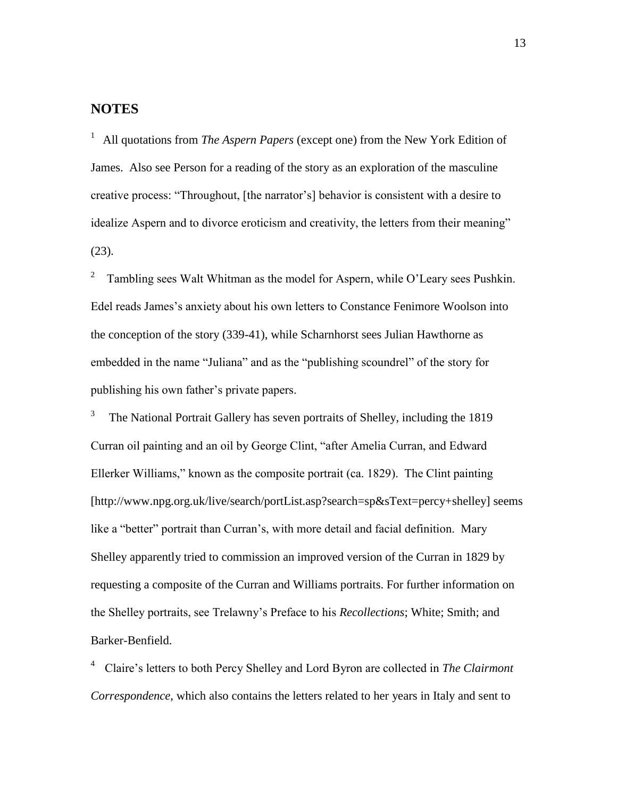### **NOTES**

<sup>1</sup> All quotations from *The Aspern Papers* (except one) from the New York Edition of James. Also see Person for a reading of the story as an exploration of the masculine creative process: "Throughout, [the narrator's] behavior is consistent with a desire to idealize Aspern and to divorce eroticism and creativity, the letters from their meaning" (23).

<sup>2</sup> Tambling sees Walt Whitman as the model for Aspern, while O'Leary sees Pushkin. Edel reads James's anxiety about his own letters to Constance Fenimore Woolson into the conception of the story (339-41), while Scharnhorst sees Julian Hawthorne as embedded in the name "Juliana" and as the "publishing scoundrel" of the story for publishing his own father's private papers.

 $3$  The National Portrait Gallery has seven portraits of Shelley, including the 1819 Curran oil painting and an oil by George Clint, "after Amelia Curran, and Edward Ellerker Williams," known as the composite portrait (ca. 1829). The Clint painting [http://www.npg.org.uk/live/search/portList.asp?search=sp&sText=percy+shelley] seems like a "better" portrait than Curran's, with more detail and facial definition. Mary Shelley apparently tried to commission an improved version of the Curran in 1829 by requesting a composite of the Curran and Williams portraits. For further information on the Shelley portraits, see Trelawny's Preface to his *Recollections*; White; Smith; and Barker-Benfield.

<sup>4</sup>Claire's letters to both Percy Shelley and Lord Byron are collected in *The Clairmont Correspondence*, which also contains the letters related to her years in Italy and sent to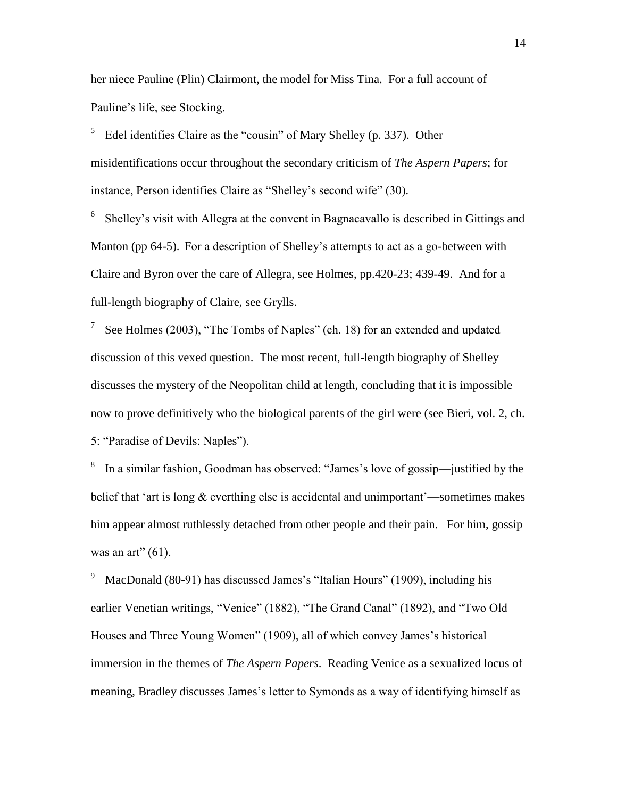her niece Pauline (Plin) Clairmont, the model for Miss Tina. For a full account of Pauline's life, see Stocking.

 $5\text{ Edel}$  identifies Claire as the "cousin" of Mary Shelley (p. 337). Other misidentifications occur throughout the secondary criticism of *The Aspern Papers*; for instance, Person identifies Claire as "Shelley's second wife" (30)*.*

 $6$  Shelley's visit with Allegra at the convent in Bagnacavallo is described in Gittings and Manton (pp 64-5). For a description of Shelley's attempts to act as a go-between with Claire and Byron over the care of Allegra, see Holmes, pp.420-23; 439-49. And for a full-length biography of Claire, see Grylls.

<sup>7</sup> See Holmes (2003), "The Tombs of Naples" (ch. 18) for an extended and updated discussion of this vexed question. The most recent, full-length biography of Shelley discusses the mystery of the Neopolitan child at length, concluding that it is impossible now to prove definitively who the biological parents of the girl were (see Bieri, vol. 2, ch. 5: "Paradise of Devils: Naples").

<sup>8</sup> In a similar fashion, Goodman has observed: "James's love of gossip—justified by the belief that 'art is long  $\&$  everthing else is accidental and unimportant'—sometimes makes him appear almost ruthlessly detached from other people and their pain. For him, gossip was an art"  $(61)$ .

MacDonald (80-91) has discussed James's "Italian Hours" (1909), including his earlier Venetian writings, "Venice" (1882), "The Grand Canal" (1892), and "Two Old Houses and Three Young Women" (1909), all of which convey James's historical immersion in the themes of *The Aspern Papers*. Reading Venice as a sexualized locus of meaning, Bradley discusses James's letter to Symonds as a way of identifying himself as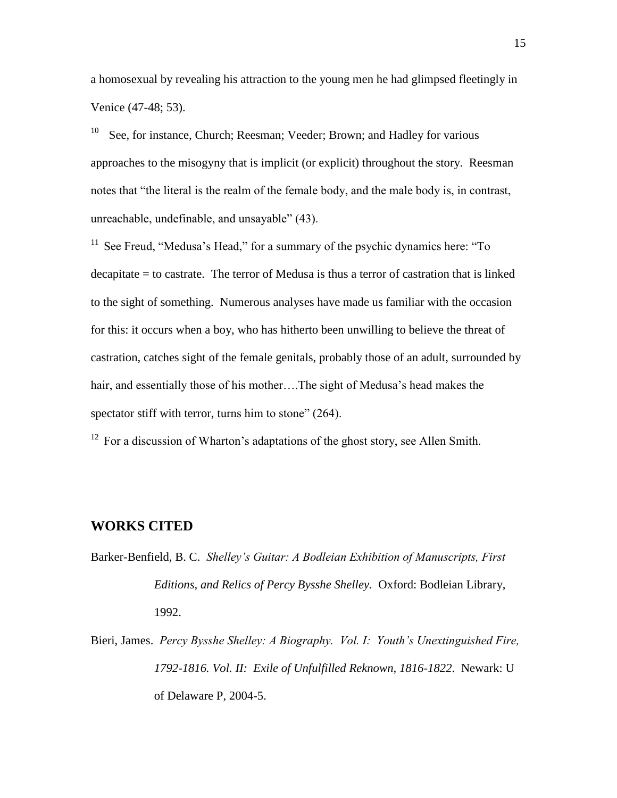a homosexual by revealing his attraction to the young men he had glimpsed fleetingly in Venice (47-48; 53).

 $10$  See, for instance, Church; Reesman; Veeder; Brown; and Hadley for various approaches to the misogyny that is implicit (or explicit) throughout the story. Reesman notes that "the literal is the realm of the female body, and the male body is, in contrast, unreachable, undefinable, and unsayable" (43).

<sup>11</sup> See Freud, "Medusa's Head," for a summary of the psychic dynamics here: "To decapitate = to castrate. The terror of Medusa is thus a terror of castration that is linked to the sight of something. Numerous analyses have made us familiar with the occasion for this: it occurs when a boy, who has hitherto been unwilling to believe the threat of castration, catches sight of the female genitals, probably those of an adult, surrounded by hair, and essentially those of his mother….The sight of Medusa's head makes the spectator stiff with terror, turns him to stone" (264).

 $12$  For a discussion of Wharton's adaptations of the ghost story, see Allen Smith.

#### **WORKS CITED**

- Barker-Benfield, B. C. *Shelley's Guitar: A Bodleian Exhibition of Manuscripts, First Editions, and Relics of Percy Bysshe Shelley.* Oxford: Bodleian Library, 1992.
- Bieri, James. *Percy Bysshe Shelley: A Biography. Vol. I: Youth's Unextinguished Fire, 1792-1816. Vol. II: Exile of Unfulfilled Reknown, 1816-1822*. Newark: U of Delaware P, 2004-5.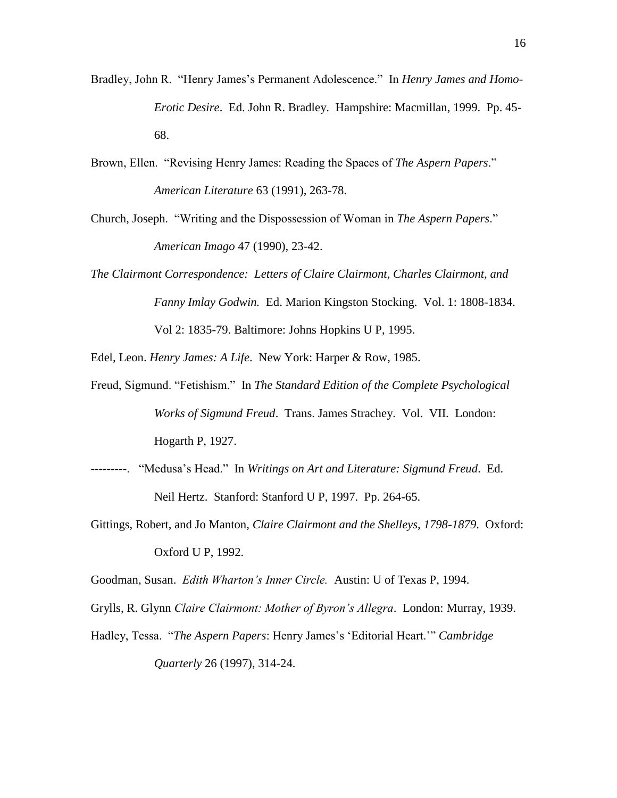- Bradley, John R. "Henry James's Permanent Adolescence." In *Henry James and Homo-Erotic Desire*. Ed. John R. Bradley. Hampshire: Macmillan, 1999. Pp. 45- 68.
- Brown, Ellen. "Revising Henry James: Reading the Spaces of *The Aspern Papers*." *American Literature* 63 (1991), 263-78.
- Church, Joseph. "Writing and the Dispossession of Woman in *The Aspern Papers*." *American Imago* 47 (1990), 23-42.
- *The Clairmont Correspondence: Letters of Claire Clairmont, Charles Clairmont, and Fanny Imlay Godwin.* Ed. Marion Kingston Stocking. Vol. 1: 1808-1834. Vol 2: 1835-79. Baltimore: Johns Hopkins U P, 1995.

Edel, Leon. *Henry James: A Life*. New York: Harper & Row, 1985.

- Freud, Sigmund. "Fetishism." In *The Standard Edition of the Complete Psychological Works of Sigmund Freud*. Trans. James Strachey. Vol. VII. London: Hogarth P, 1927.
- ---------. "Medusa's Head." In *Writings on Art and Literature: Sigmund Freud*. Ed. Neil Hertz. Stanford: Stanford U P, 1997. Pp. 264-65.
- Gittings, Robert, and Jo Manton, *Claire Clairmont and the Shelleys, 1798-1879*. Oxford: Oxford U P, 1992.

Goodman, Susan. *Edith Wharton's Inner Circle.* Austin: U of Texas P, 1994.

- Grylls, R. Glynn *Claire Clairmont: Mother of Byron's Allegra*. London: Murray, 1939.
- Hadley, Tessa. "*The Aspern Papers*: Henry James's 'Editorial Heart.'" *Cambridge Quarterly* 26 (1997), 314-24.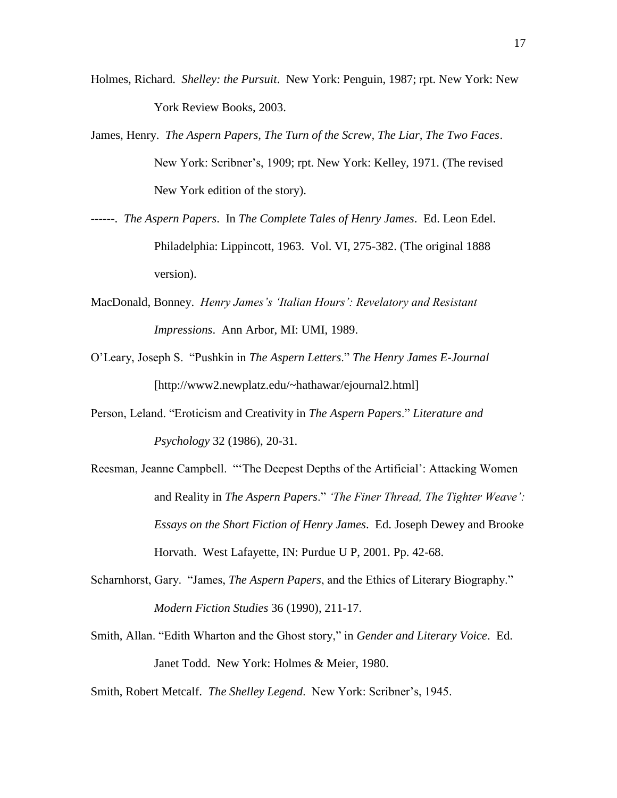- Holmes, Richard. *Shelley: the Pursuit*. New York: Penguin, 1987; rpt. New York: New York Review Books, 2003.
- James, Henry. *The Aspern Papers, The Turn of the Screw, The Liar, The Two Faces*. New York: Scribner's, 1909; rpt. New York: Kelley, 1971. (The revised New York edition of the story).
- ------. *The Aspern Papers*. In *The Complete Tales of Henry James*. Ed. Leon Edel. Philadelphia: Lippincott, 1963. Vol. VI, 275-382. (The original 1888 version).
- MacDonald, Bonney. *Henry James's 'Italian Hours': Revelatory and Resistant Impressions*. Ann Arbor, MI: UMI, 1989.
- O'Leary, Joseph S. "Pushkin in *The Aspern Letters*." *The Henry James E-Journal* [http://www2.newplatz.edu/~hathawar/ejournal2.html]
- Person, Leland. "Eroticism and Creativity in *The Aspern Papers*." *Literature and Psychology* 32 (1986), 20-31.
- Reesman, Jeanne Campbell. "'The Deepest Depths of the Artificial': Attacking Women and Reality in *The Aspern Papers*." *'The Finer Thread, The Tighter Weave': Essays on the Short Fiction of Henry James*. Ed. Joseph Dewey and Brooke Horvath. West Lafayette, IN: Purdue U P, 2001. Pp. 42-68.
- Scharnhorst, Gary. "James, *The Aspern Papers*, and the Ethics of Literary Biography." *Modern Fiction Studies* 36 (1990), 211-17.
- Smith, Allan. "Edith Wharton and the Ghost story," in *Gender and Literary Voice*. Ed. Janet Todd. New York: Holmes & Meier, 1980.

Smith, Robert Metcalf. *The Shelley Legend*. New York: Scribner's, 1945.